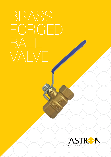# FORGED VALVE

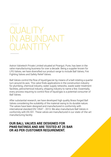## QUALITY in abundant quantity

Astron Valvetech Private Limited situated at Pirangut, Pune, has been in the valve manufacturing business for over a decade. Being a supplier known for LPG Valves, we have diversified our product range to include Ball Valves, Fire Fighting Valves and Safety Relief Valves.

Ball Valves control the flow of liquid/gas/air by means of a ball rotating a quarter turn around its axis. This valve finds applications in the construction industry for plumbing, chemical industry, water supply networks, waste water treatment facilities, petrochemical industry, shipping industry to name a few. Essentially, every process requiring to control flow of liquid/gas is a potential consumer of Ball Valves.

After substantial research, we have developed high quality Brass forged Ball Valves considering the suitability of the material owing to its durable nature. The valves have been designed and manufactured in conformity with international standard EN 13547 - 2013. We also manufacture Ball Valves in conformity with EN 331. These valves are manufactured in our state-of-the-art manufacturing facility.

#### **Our Ball Valves are designed for PN40 ratings and are tested at 25 Bar or as per customer requirement.**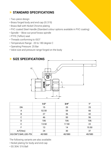### **» STANDARD Specifications**

- Two-piece design
- Brass forged body and end cap (IS 319)
- Brass Ball with Nickel Chrome plating
- PVC coated Steel Handle (Standard colour options available in PVC coating)
- Spindle Blow out proof brass spindle
- PTFE (Teflon) seat
- Threads conforming to ISO7
- Temperature Range: -20 to 180 degree C
- Operating Pressure: 25 Bar
- Valve size and pressure range forged on the body



|                      | 1/2"   | 3/4"   | 1"     |
|----------------------|--------|--------|--------|
| <b>DN</b>            | 15     | 20     | 25     |
| A                    | 52.50  | 59     | 66     |
| B                    | 27     | 36     | 42     |
| C                    | 46     | 50     | 56     |
| D                    | 106    | 106    | 106    |
| E                    | 13.50  | 17.50  | 22     |
| F                    | 13     | 14     | 15.50  |
| A/F(Hex)             | 24     | 30     | 37     |
| KG/CM^2 BAR, LBS-PSI | 40/580 | 40/580 | 40/580 |

The following variants are also available:

- Nickel plating for body and end cap
- SS 304/ 316 Ball